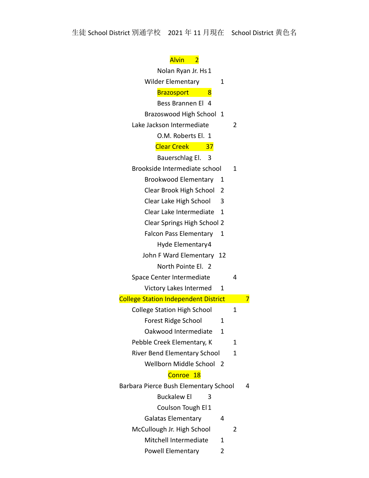| Alvin<br>$\overline{2}$                     |    |   |   |
|---------------------------------------------|----|---|---|
| Nolan Ryan Jr. Hs 1                         |    |   |   |
| <b>Wilder Elementary</b>                    | 1  |   |   |
| 8<br><b>Brazosport</b>                      |    |   |   |
| Bess Brannen El 4                           |    |   |   |
| <b>Brazoswood High School</b>               | -1 |   |   |
| Lake Jackson Intermediate                   |    | 2 |   |
| O.M. Roberts El. 1                          |    |   |   |
| <b>Clear Creek</b><br>37                    |    |   |   |
| Bauerschlag El.<br>- 3                      |    |   |   |
| Brookside Intermediate school               |    | 1 |   |
| <b>Brookwood Elementary</b>                 | 1  |   |   |
| Clear Brook High School                     | 2  |   |   |
| Clear Lake High School                      | 3  |   |   |
| Clear Lake Intermediate                     | 1  |   |   |
| <b>Clear Springs High School 2</b>          |    |   |   |
| <b>Falcon Pass Elementary</b>               | 1  |   |   |
| Hyde Elementary4                            |    |   |   |
| John F Ward Elementary 12                   |    |   |   |
| North Pointe El. 2                          |    |   |   |
| Space Center Intermediate                   |    | 4 |   |
| Victory Lakes Intermed                      | 1  |   |   |
| <b>College Station Independent District</b> |    |   |   |
| <b>College Station High School</b>          |    | 1 |   |
| <b>Forest Ridge School</b>                  | 1  |   |   |
| Oakwood Intermediate                        | 1  |   |   |
| Pebble Creek Elementary, K                  |    | 1 |   |
| River Bend Elementary School                |    | 1 |   |
| Wellborn Middle School                      |    |   |   |
| Conroe 18                                   |    |   |   |
| Barbara Pierce Bush Elementary School       |    |   | 4 |
| <b>Buckalew El</b><br>3                     |    |   |   |
| Coulson Tough El 1                          |    |   |   |
| <b>Galatas Elementary</b>                   | 4  |   |   |
| McCullough Jr. High School                  |    | 2 |   |
| Mitchell Intermediate                       | 1  |   |   |
| <b>Powell Elementary</b>                    | 2  |   |   |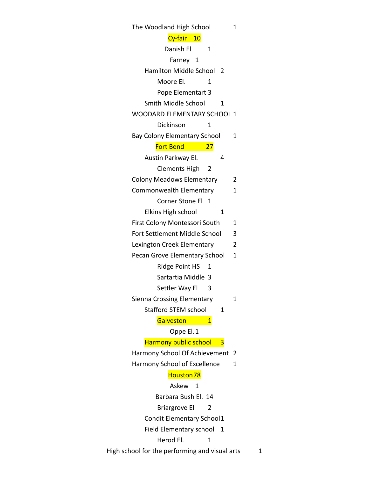| The Woodland High School                       | 1 |
|------------------------------------------------|---|
| Cy-fair<br>10                                  |   |
| Danish El<br>1                                 |   |
| Farney 1                                       |   |
| <b>Hamilton Middle School</b><br>- 2           |   |
| Moore El.<br>1                                 |   |
| Pope Elementart 3                              |   |
| Smith Middle School<br>1                       |   |
| <b>WOODARD ELEMENTARY SCHOOL 1</b>             |   |
| Dickinson<br>1                                 |   |
| <b>Bay Colony Elementary School</b>            | 1 |
| <b>Fort Bend</b><br>27                         |   |
| Austin Parkway El.<br>4                        |   |
| <b>Clements High</b><br>2                      |   |
| <b>Colony Meadows Elementary</b>               | 2 |
| Commonwealth Elementary                        | 1 |
| Corner Stone El<br>$\overline{1}$              |   |
| Elkins High school<br>1                        |   |
| First Colony Montessori South                  | 1 |
| Fort Settlement Middle School                  | 3 |
| Lexington Creek Elementary                     | 2 |
| Pecan Grove Elementary School                  | 1 |
| <b>Ridge Point HS</b><br>1                     |   |
| Sartartia Middle 3                             |   |
| Settler Way El<br>3                            |   |
| Sienna Crossing Elementary                     | 1 |
| <b>Stafford STEM school</b><br>1               |   |
| Galveston<br>1                                 |   |
| Oppe El. 1                                     |   |
| <b>Harmony public school</b><br>3              |   |
| Harmony School Of Achievement                  | 2 |
| Harmony School of Excellence                   | 1 |
| Houston 78                                     |   |
| Askew 1                                        |   |
| Barbara Bush El. 14                            |   |
| <b>Briargrove El</b><br>2                      |   |
| Condit Elementary School1                      |   |
| Field Elementary school<br>1                   |   |
| Herod El.<br>1                                 |   |
| High school for the performing and visual arts | 1 |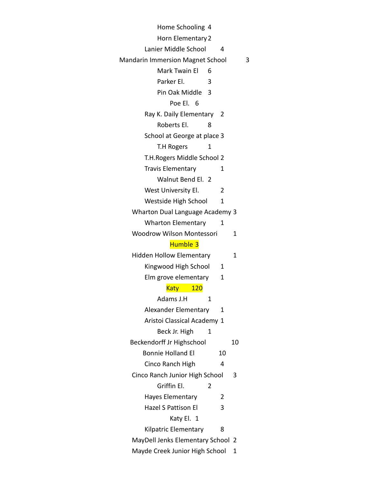| Home Schooling 4                        |     |    |   |
|-----------------------------------------|-----|----|---|
| Horn Elementary 2                       |     |    |   |
| Lanier Middle School                    | 4   |    |   |
| <b>Mandarin Immersion Magnet School</b> |     |    | 3 |
| Mark Twain El<br>6                      |     |    |   |
| Parker El.<br>3                         |     |    |   |
| Pin Oak Middle<br>3                     |     |    |   |
| Poe El. 6                               |     |    |   |
| Ray K. Daily Elementary                 | - 2 |    |   |
| Roberts El.<br>8                        |     |    |   |
| School at George at place 3             |     |    |   |
| <b>T.H Rogers</b><br>1                  |     |    |   |
| T.H. Rogers Middle School 2             |     |    |   |
| <b>Travis Elementary</b>                | 1   |    |   |
| Walnut Bend El. 2                       |     |    |   |
| West University El.                     | 2   |    |   |
| Westside High School                    | 1   |    |   |
| <b>Wharton Dual Language Academy 3</b>  |     |    |   |
| <b>Wharton Elementary</b>               | 1   |    |   |
| <b>Woodrow Wilson Montessori</b>        |     | 1  |   |
| Humble <sub>3</sub>                     |     |    |   |
| <b>Hidden Hollow Elementary</b>         |     | 1  |   |
| Kingwood High School                    | 1   |    |   |
| Elm grove elementary                    | 1   |    |   |
| 120<br>Katy                             |     |    |   |
| Adams J.H<br>1                          |     |    |   |
| <b>Alexander Elementary</b>             | 1   |    |   |
| Aristoi Classical Academy 1             |     |    |   |
| Beck Jr. High<br>1                      |     |    |   |
| Beckendorff Jr Highschool               |     | 10 |   |
| <b>Bonnie Holland El</b>                | 10  |    |   |
| Cinco Ranch High                        | 4   |    |   |
| Cinco Ranch Junior High School          |     | 3  |   |
| Griffin El.<br>2                        |     |    |   |
| Hayes Elementary                        | 2   |    |   |
| <b>Hazel S Pattison El</b>              | 3   |    |   |
| Katy El. 1                              |     |    |   |
| Kilpatric Elementary                    | 8   |    |   |
| MayDell Jenks Elementary School 2       |     |    |   |
| Mayde Creek Junior High School          |     | 1  |   |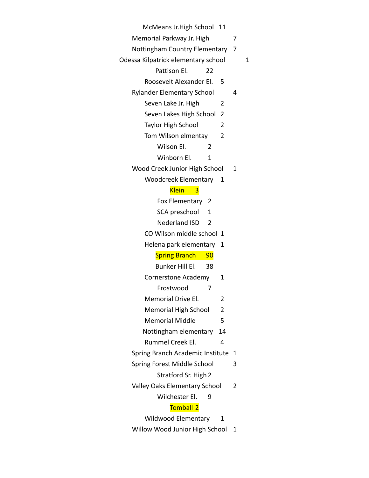McMeans Jr.High School 11

Memorial Parkway Jr. High 7

Nottingham Country Elementary 7

Odessa Kilpatrick elementary school 1

- Pattison El. 22
- Roosevelt Alexander El. 5

Rylander Elementary School 4

- Seven Lake Jr. High 2
- Seven Lakes High School 2
- Taylor High School 2
- Tom Wilson elmentay 2
	- Wilson El. 2
	- Winborn El. 1
- Wood Creek Junior High School 1
	- Woodcreek Elementary 1

## Klein 3

- Fox Elementary 2
- SCA preschool 1
- Nederland ISD 2
- CO Wilson middle school 1
- Helena park elementary 1

## **Spring Branch 90**

- Bunker Hill El. 38
- Cornerstone Academy 1
	- Frostwood 7
- Memorial Drive El. 2
- Memorial High School 2
- Memorial Middle 5
- Nottingham elementary 14
- Rummel Creek El. 4
- Spring Branch Academic Institute 1
- Spring Forest Middle School 3 Stratford Sr. High 2
- Valley Oaks Elementary School 2

Wilchester El. 9

## Tomball 2

- Wildwood Elementary 1
- Willow Wood Junior High School 1